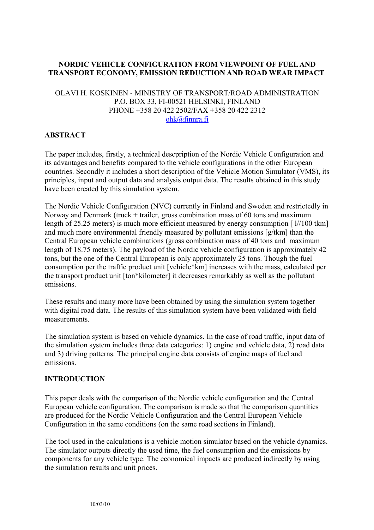# **NORDIC VEHICLE CONFIGURATION FROM VIEWPOINT OF FUEL AND TRANSPORT ECONOMY, EMISSION REDUCTION AND ROAD WEAR IMPACT**

### OLAVI H. KOSKINEN - MINISTRY OF TRANSPORT/ROAD ADMINISTRATION P.O. BOX 33, FI-00521 HELSINKI, FINLAND PHONE +358 20 422 2502/FAX +358 20 422 2312 [ohk@finnra.fi](mailto:ohk@finnra.fi)

# **ABSTRACT**

The paper includes, firstly, a technical descpription of the Nordic Vehicle Configuration and its advantages and benefits compared to the vehicle configurations in the other European countries. Secondly it includes a short description of the Vehicle Motion Simulator (VMS), its principles, input and output data and analysis output data. The results obtained in this study have been created by this simulation system.

The Nordic Vehicle Configuration (NVC) currently in Finland and Sweden and restrictedly in Norway and Denmark (truck + trailer, gross combination mass of 60 tons and maximum length of 25.25 meters) is much more efficient measured by energy consumption [ $\frac{1}{100}$  tkm] and much more environmental friendly measured by pollutant emissions [g/tkm] than the Central European vehicle combinations (gross combination mass of 40 tons and maximum length of 18.75 meters). The payload of the Nordic vehicle configuration is approximately 42 tons, but the one of the Central European is only approximately 25 tons. Though the fuel consumption per the traffic product unit [vehicle\*km] increases with the mass, calculated per the transport product unit [ton\*kilometer] it decreases remarkably as well as the pollutant emissions.

These results and many more have been obtained by using the simulation system together with digital road data. The results of this simulation system have been validated with field measurements.

The simulation system is based on vehicle dynamics. In the case of road traffic, input data of the simulation system includes three data categories: 1) engine and vehicle data, 2) road data and 3) driving patterns. The principal engine data consists of engine maps of fuel and emissions.

# **INTRODUCTION**

This paper deals with the comparison of the Nordic vehicle configuration and the Central European vehicle configuration. The comparison is made so that the comparison quantities are produced for the Nordic Vehicle Configuration and the Central European Vehicle Configuration in the same conditions (on the same road sections in Finland).

The tool used in the calculations is a vehicle motion simulator based on the vehicle dynamics. The simulator outputs directly the used time, the fuel consumption and the emissions by components for any vehicle type. The economical impacts are produced indirectly by using the simulation results and unit prices.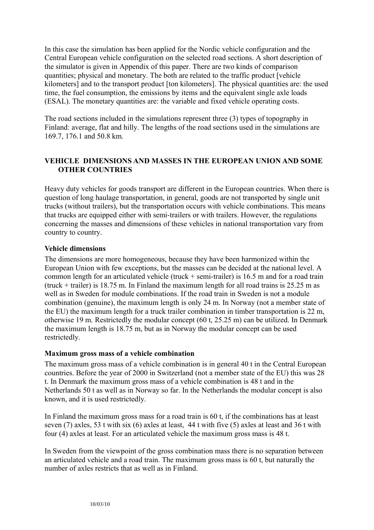In this case the simulation has been applied for the Nordic vehicle configuration and the Central European vehicle configuration on the selected road sections. A short description of the simulator is given in Appendix of this paper. There are two kinds of comparison quantities; physical and monetary. The both are related to the traffic product [vehicle kilometers] and to the transport product [ton kilometers]. The physical quantities are: the used time, the fuel consumption, the emissions by items and the equivalent single axle loads (ESAL). The monetary quantities are: the variable and fixed vehicle operating costs.

The road sections included in the simulations represent three (3) types of topography in Finland: average, flat and hilly. The lengths of the road sections used in the simulations are 169.7, 176.1 and 50.8 km.

# **VEHICLE DIMENSIONS AND MASSES IN THE EUROPEAN UNION AND SOME OTHER COUNTRIES**

Heavy duty vehicles for goods transport are different in the European countries. When there is question of long haulage transportation, in general, goods are not transported by single unit trucks (without trailers), but the transportation occurs with vehicle combinations. This means that trucks are equipped either with semi-trailers or with trailers. However, the regulations concerning the masses and dimensions of these vehicles in national transportation vary from country to country.

## **Vehicle dimensions**

The dimensions are more homogeneous, because they have been harmonized within the European Union with few exceptions, but the masses can be decided at the national level. A common length for an articulated vehicle (truck + semi-trailer) is 16.5 m and for a road train (truck + trailer) is 18.75 m. In Finland the maximum length for all road trains is  $25.25$  m as well as in Sweden for module combinations. If the road train in Sweden is not a module combination (genuine), the maximum length is only 24 m. In Norway (not a member state of the EU) the maximum length for a truck trailer combination in timber transportation is 22 m, otherwise 19 m. Restrictedly the modular concept (60 t, 25.25 m) can be utilized. In Denmark the maximum length is 18.75 m, but as in Norway the modular concept can be used restrictedly.

### **Maximum gross mass of a vehicle combination**

The maximum gross mass of a vehicle combination is in general 40 t in the Central European countries. Before the year of 2000 in Switzerland (not a member state of the EU) this was 28 t. In Denmark the maximum gross mass of a vehicle combination is 48 t and in the Netherlands 50 t as well as in Norway so far. In the Netherlands the modular concept is also known, and it is used restrictedly.

In Finland the maximum gross mass for a road train is 60 t, if the combinations has at least seven (7) axles, 53 t with six (6) axles at least, 44 t with five (5) axles at least and 36 t with four (4) axles at least. For an articulated vehicle the maximum gross mass is 48 t.

In Sweden from the viewpoint of the gross combination mass there is no separation between an articulated vehicle and a road train. The maximum gross mass is 60 t, but naturally the number of axles restricts that as well as in Finland.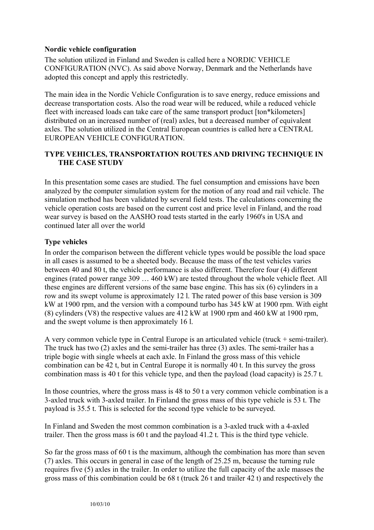# **Nordic vehicle configuration**

The solution utilized in Finland and Sweden is called here a NORDIC VEHICLE CONFIGURATION (NVC). As said above Norway, Denmark and the Netherlands have adopted this concept and apply this restrictedly.

The main idea in the Nordic Vehicle Configuration is to save energy, reduce emissions and decrease transportation costs. Also the road wear will be reduced, while a reduced vehicle fleet with increased loads can take care of the same transport product [ton\*kilometers] distributed on an increased number of (real) axles, but a decreased number of equivalent axles. The solution utilized in the Central European countries is called here a CENTRAL EUROPEAN VEHICLE CONFIGURATION.

# **TYPE VEHICLES, TRANSPORTATION ROUTES AND DRIVING TECHNIQUE IN THE CASE STUDY**

In this presentation some cases are studied. The fuel consumption and emissions have been analyzed by the computer simulation system for the motion of any road and rail vehicle. The simulation method has been validated by several field tests. The calculations concerning the vehicle operation costs are based on the current cost and price level in Finland, and the road wear survey is based on the AASHO road tests started in the early 1960's in USA and continued later all over the world

# **Type vehicles**

In order the comparison between the different vehicle types would be possible the load space in all cases is assumed to be a sheeted body. Because the mass of the test vehicles varies between 40 and 80 t, the vehicle performance is also different. Therefore four (4) different engines (rated power range 309 … 460 kW) are tested throughout the whole vehicle fleet. All these engines are different versions of the same base engine. This has six (6) cylinders in a row and its swept volume is approximately 12 l. The rated power of this base version is 309 kW at 1900 rpm, and the version with a compound turbo has 345 kW at 1900 rpm. With eight (8) cylinders (V8) the respective values are 412 kW at 1900 rpm and 460 kW at 1900 rpm, and the swept volume is then approximately 16 l.

A very common vehicle type in Central Europe is an articulated vehicle (truck + semi-trailer). The truck has two (2) axles and the semi-trailer has three (3) axles. The semi-trailer has a triple bogie with single wheels at each axle. In Finland the gross mass of this vehicle combination can be 42 t, but in Central Europe it is normally 40 t. In this survey the gross combination mass is 40 t for this vehicle type, and then the payload (load capacity) is 25.7 t.

In those countries, where the gross mass is 48 to 50 t a very common vehicle combination is a 3-axled truck with 3-axled trailer. In Finland the gross mass of this type vehicle is 53 t. The payload is 35.5 t. This is selected for the second type vehicle to be surveyed.

In Finland and Sweden the most common combination is a 3-axled truck with a 4-axled trailer. Then the gross mass is 60 t and the payload 41.2 t. This is the third type vehicle.

So far the gross mass of 60 t is the maximum, although the combination has more than seven (7) axles. This occurs in general in case of the length of 25.25 m, because the turning rule requires five (5) axles in the trailer. In order to utilize the full capacity of the axle masses the gross mass of this combination could be 68 t (truck 26 t and trailer 42 t) and respectively the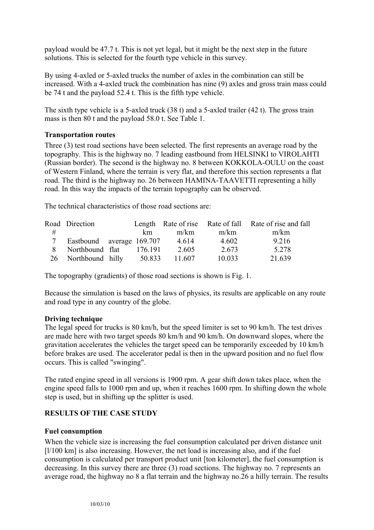payload would be 47.7 t. This is not yet legal, but it might be the next step in the future solutions. This is selected for the fourth type vehicle in this survey.

By using 4-axled or 5-axled trucks the number of axles in the combination can still be increased. With a 4-axled truck the combination has nine (9) axles and gross train mass could be 74 t and the payload 52.4 t. This is the fifth type vehicle.

The sixth type vehicle is a 5-axled truck (38 t) and a 5-axled trailer (42 t). The gross train mass is then 80 t and the payload 58.0 t. See Table 1.

# **Transportation routes**

Three (3) test road sections have been selected. The first represents an average road by the topography. This is the highway no. 7 leading eastbound from HELSINKI to VIROLAHTI (Russian border). The second is the highway no. 8 between KOKKOLA-OULU on the coast of Western Finland, where the terrain is very flat, and therefore this section represents a flat road. The third is the highway no. 26 between HAMINA-TAAVETTI representing a hilly road. In this way the impacts of the terrain topography can be observed.

The technical characteristics of those road sections are:

|    | Road Direction            |         |        |        | Length Rate of rise Rate of fall Rate of rise and fall |
|----|---------------------------|---------|--------|--------|--------------------------------------------------------|
| #  |                           | km.     | m/km   | m/km   | m/km                                                   |
|    | Eastbound average 169.707 |         | 4.614  | 4.602  | 9.216                                                  |
|    | Northbound flat           | 176.191 | 2.605  | 2.673  | 5.278                                                  |
| 26 | Northbound hilly          | 50.833  | 11.607 | 10.033 | 21.639                                                 |

The topography (gradients) of those road sections is shown is Fig. 1.

Because the simulation is based on the laws of physics, its results are applicable on any route and road type in any country of the globe.

# **Driving technique**

The legal speed for trucks is 80 km/h, but the speed limiter is set to 90 km/h. The test drives are made here with two target speeds 80 km/h and 90 km/h. On downward slopes, where the gravitation accelerates the vehicles the target speed can be temporarily exceeded by 10 km/h before brakes are used. The accelerator pedal is then in the upward position and no fuel flow occurs. This is called "swinging".

The rated engine speed in all versions is 1900 rpm. A gear shift down takes place, when the engine speed falls to 1000 rpm and up, when it reaches 1600 rpm. In shifting down the whole step is used, but in shifting up the splitter is used.

# **RESULTS OF THE CASE STUDY**

# **Fuel consumption**

When the vehicle size is increasing the fuel consumption calculated per driven distance unit [ $1/100$  km] is also increasing. However, the net load is increasing also, and if the fuel consumption is calculated per transport product unit [ton kilometer], the fuel consumption is decreasing. In this survey there are three (3) road sections. The highway no. 7 represents an average road, the highway no 8 a flat terrain and the highway no.26 a hilly terrain. The results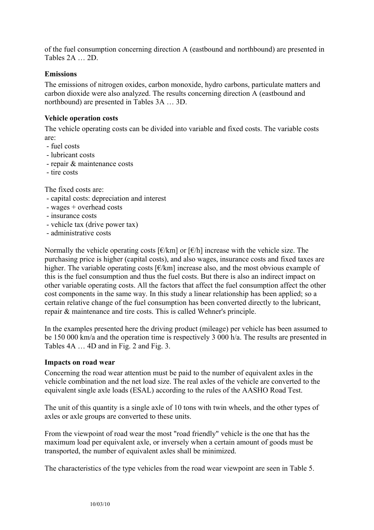of the fuel consumption concerning direction A (eastbound and northbound) are presented in Tables 2A … 2D.

# **Emissions**

The emissions of nitrogen oxides, carbon monoxide, hydro carbons, particulate matters and carbon dioxide were also analyzed. The results concerning direction A (eastbound and northbound) are presented in Tables 3A … 3D.

### **Vehicle operation costs**

The vehicle operating costs can be divided into variable and fixed costs. The variable costs are:

- fuel costs
- lubricant costs
- repair & maintenance costs
- tire costs

The fixed costs are:

- capital costs: depreciation and interest
- wages + overhead costs
- insurance costs
- vehicle tax (drive power tax)
- administrative costs

Normally the vehicle operating costs  $\lceil \frac{\epsilon}{km} \rceil$  or  $\lceil \frac{\epsilon}{h} \rceil$  increase with the vehicle size. The purchasing price is higher (capital costs), and also wages, insurance costs and fixed taxes are higher. The variable operating costs  $\lbrack \n\varepsilon/km \rbrack$  increase also, and the most obvious example of this is the fuel consumption and thus the fuel costs. But there is also an indirect impact on other variable operating costs. All the factors that affect the fuel consumption affect the other cost components in the same way. In this study a linear relationship has been applied; so a certain relative change of the fuel consumption has been converted directly to the lubricant, repair & maintenance and tire costs. This is called Wehner's principle.

In the examples presented here the driving product (mileage) per vehicle has been assumed to be 150 000 km/a and the operation time is respectively 3 000 h/a. The results are presented in Tables 4A … 4D and in Fig. 2 and Fig. 3.

### **Impacts on road wear**

Concerning the road wear attention must be paid to the number of equivalent axles in the vehicle combination and the net load size. The real axles of the vehicle are converted to the equivalent single axle loads (ESAL) according to the rules of the AASHO Road Test.

The unit of this quantity is a single axle of 10 tons with twin wheels, and the other types of axles or axle groups are converted to these units.

From the viewpoint of road wear the most "road friendly" vehicle is the one that has the maximum load per equivalent axle, or inversely when a certain amount of goods must be transported, the number of equivalent axles shall be minimized.

The characteristics of the type vehicles from the road wear viewpoint are seen in Table 5.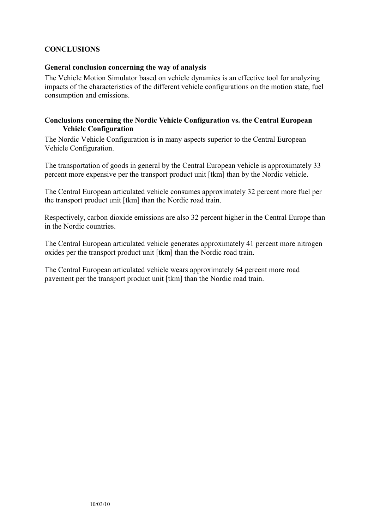# **CONCLUSIONS**

### **General conclusion concerning the way of analysis**

The Vehicle Motion Simulator based on vehicle dynamics is an effective tool for analyzing impacts of the characteristics of the different vehicle configurations on the motion state, fuel consumption and emissions.

# **Conclusions concerning the Nordic Vehicle Configuration vs. the Central European Vehicle Configuration**

The Nordic Vehicle Configuration is in many aspects superior to the Central European Vehicle Configuration.

The transportation of goods in general by the Central European vehicle is approximately 33 percent more expensive per the transport product unit [tkm] than by the Nordic vehicle.

The Central European articulated vehicle consumes approximately 32 percent more fuel per the transport product unit [tkm] than the Nordic road train.

Respectively, carbon dioxide emissions are also 32 percent higher in the Central Europe than in the Nordic countries.

The Central European articulated vehicle generates approximately 41 percent more nitrogen oxides per the transport product unit [tkm] than the Nordic road train.

The Central European articulated vehicle wears approximately 64 percent more road pavement per the transport product unit [tkm] than the Nordic road train.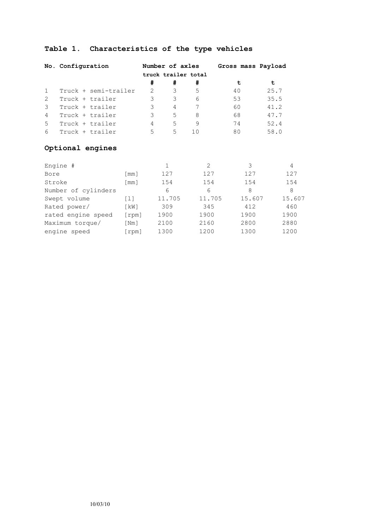# **Table 1. Characteristics of the type vehicles**

|                | No. Configuration    |                     | Number of axles |    | Gross mass Payload |      |
|----------------|----------------------|---------------------|-----------------|----|--------------------|------|
|                |                      | truck trailer total |                 |    |                    |      |
|                |                      | #                   | #               |    |                    | t    |
| $\mathbf{1}$   | Truck + semi-trailer | 2                   | 3               | .5 | 40                 | 25.7 |
| 2              | Truck + trailer      | 3                   | 3               | 6  | 53                 | 35.5 |
| 3              | Truck + trailer      | 3                   | 4               | 7  | 60                 | 41.2 |
| $\overline{4}$ | Truck + trailer      | 3                   | 5               | 8  | 68                 | 47.7 |
| 5              | Truck + trailer      | 4                   | 5               | 9  | 74                 | 52.4 |
| 6              | Truck + trailer      | 5                   | 5.              | 10 | 80                 | 58.0 |

# **Optional engines**

| Engine #            |                    |        | $\mathcal{L}$ | 3      | 4      |
|---------------------|--------------------|--------|---------------|--------|--------|
| Bore                | [mm]               | 127    | 127           | 127    | 127    |
| Stroke              | [mm]               | 154    | 154           | 154    | 154    |
| Number of cylinders |                    | 6      | 6             | 8      | 8      |
| Swept volume        | [1]                | 11.705 | 11.705        | 15.607 | 15.607 |
| Rated power/        | KW                 | 309    | 345           | 412    | 460    |
| rated engine speed  | [rpm]              | 1900   | 1900          | 1900   | 1900   |
| Maximum torque/     | $\lceil Nm \rceil$ | 2100   | 2160          | 2800   | 2880   |
| engine speed        | rpm]               | 1300   | 1200          | 1300   | 1200   |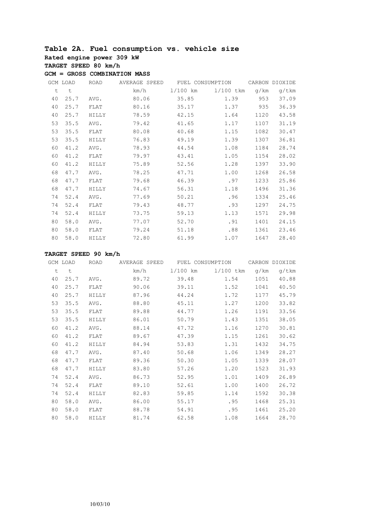# **Table 2A. Fuel consumption vs. vehicle size**

**Rated engine power 309 kW**

**TARGET SPEED 80 km/h**

**GCM = GROSS COMBINATION MASS**

|    | GCM LOAD | ROAD  | AVERAGE SPEED | FUEL CONSUMPTION |             |      | CARBON DIOXIDE |
|----|----------|-------|---------------|------------------|-------------|------|----------------|
| t  | $\sf t$  |       | km/h          | $1/100$ km       | $1/100$ tkm | q/km | g/tkm          |
| 40 | 25.7     | AVG.  | 80.06         | 35.85            | 1.39        | 953  | 37.09          |
| 40 | 25.7     | FLAT  | 80.16         | 35.17            | 1.37        | 935  | 36.39          |
| 40 | 25.7     | HILLY | 78.59         | 42.15            | 1.64        | 1120 | 43.58          |
| 53 | 35.5     | AVG.  | 79.42         | 41.65            | 1.17        | 1107 | 31.19          |
| 53 | 35.5     | FLAT  | 80.08         | 40.68            | 1.15        | 1082 | 30.47          |
| 53 | 35.5     | HILLY | 76.83         | 49.19            | 1.39        | 1307 | 36.81          |
| 60 | 41.2     | AVG.  | 78.93         | 44.54            | 1.08        | 1184 | 28.74          |
| 60 | 41.2     | FLAT  | 79.97         | 43.41            | 1.05        | 1154 | 28.02          |
| 60 | 41.2     | HILLY | 75.89         | 52.56            | 1.28        | 1397 | 33.90          |
| 68 | 47.7     | AVG.  | 78.25         | 47.71            | 1.00        | 1268 | 26.58          |
| 68 | 47.7     | FLAT  | 79.68         | 46.39            | .97         | 1233 | 25.86          |
| 68 | 47.7     | HILLY | 74.67         | 56.31            | 1.18        | 1496 | 31.36          |
| 74 | 52.4     | AVG.  | 77.69         | 50.21            | .96         | 1334 | 25.46          |
| 74 | 52.4     | FLAT  | 79.43         | 48.77            | .93         | 1297 | 24.75          |
| 74 | 52.4     | HILLY | 73.75         | 59.13            | 1.13        | 1571 | 29.98          |
| 80 | 58.0     | AVG.  | 77.07         | 52.70            | .91         | 1401 | 24.15          |
| 80 | 58.0     | FLAT  | 79.24         | 51.18            | .88         | 1361 | 23.46          |
| 80 | 58.0     | HILLY | 72.80         | 61.99            | 1.07        | 1647 | 28.40          |

|    | GCM LOAD | ROAD  | AVERAGE SPEED | FUEL CONSUMPTION |             |      | CARBON DIOXIDE |
|----|----------|-------|---------------|------------------|-------------|------|----------------|
| t  | t        |       | km/h          | $1/100$ km       | $1/100$ tkm | q/km | q/tkm          |
| 40 | 25.7     | AVG.  | 89.72         | 39.48            | 1.54        | 1051 | 40.88          |
| 40 | 25.7     | FLAT  | 90.06         | 39.11            | 1.52        | 1041 | 40.50          |
| 40 | 25.7     | HILLY | 87.96         | 44.24            | 1.72        | 1177 | 45.79          |
| 53 | 35.5     | AVG.  | 88.80         | 45.11            | 1.27        | 1200 | 33.82          |
| 53 | 35.5     | FLAT  | 89.88         | 44.77            | 1.26        | 1191 | 33.56          |
| 53 | 35.5     | HILLY | 86.01         | 50.79            | 1.43        | 1351 | 38.05          |
| 60 | 41.2     | AVG.  | 88.14         | 47.72            | 1.16        | 1270 | 30.81          |
| 60 | 41.2     | FLAT  | 89.67         | 47.39            | 1.15        | 1261 | 30.62          |
| 60 | 41.2     | HILLY | 84.94         | 53.83            | 1.31        | 1432 | 34.75          |
| 68 | 47.7     | AVG.  | 87.40         | 50.68            | 1.06        | 1349 | 28.27          |
| 68 | 47.7     | FLAT  | 89.36         | 50.30            | 1.05        | 1339 | 28.07          |
| 68 | 47.7     | HILLY | 83.80         | 57.26            | 1.20        | 1523 | 31.93          |
| 74 | 52.4     | AVG.  | 86.73         | 52.95            | 1.01        | 1409 | 26.89          |
| 74 | 52.4     | FLAT  | 89.10         | 52.61            | 1.00        | 1400 | 26.72          |
| 74 | 52.4     | HILLY | 82.83         | 59.85            | 1.14        | 1592 | 30.38          |
| 80 | 58.0     | AVG.  | 86.00         | 55.17            | .95         | 1468 | 25.31          |
| 80 | 58.0     | FLAT  | 88.78         | 54.91            | .95         | 1461 | 25.20          |
| 80 | 58.0     | HILLY | 81.74         | 62.58            | 1.08        | 1664 | 28.70          |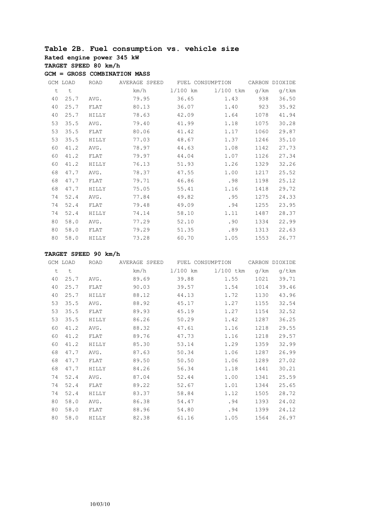# **Table 2B. Fuel consumption vs. vehicle size**

**Rated engine power 345 kW**

**TARGET SPEED 80 km/h**

**GCM = GROSS COMBINATION MASS**

|    | GCM LOAD | ROAD         | AVERAGE SPEED | FUEL CONSUMPTION |             |      | CARBON DIOXIDE |
|----|----------|--------------|---------------|------------------|-------------|------|----------------|
| t  | $\sf t$  |              | km/h          | 1/100 km         | $1/100$ tkm | q/km | g/tkm          |
| 40 | 25.7     | AVG.         | 79.95         | 36.65            | 1.43        | 938  | 36.50          |
| 40 | 25.7     | FLAT         | 80.13         | 36.07            | 1.40        | 923  | 35.92          |
| 40 | 25.7     | HILLY        | 78.63         | 42.09            | 1.64        | 1078 | 41.94          |
| 53 | 35.5     | AVG.         | 79.40         | 41.99            | 1.18        | 1075 | 30.28          |
| 53 | 35.5     | FLAT         | 80.06         | 41.42            | 1.17        | 1060 | 29.87          |
| 53 | 35.5     | <b>HILLY</b> | 77.03         | 48.67            | 1.37        | 1246 | 35.10          |
| 60 | 41.2     | AVG.         | 78.97         | 44.63            | 1.08        | 1142 | 27.73          |
| 60 | 41.2     | FLAT         | 79.97         | 44.04            | 1.07        | 1126 | 27.34          |
| 60 | 41.2     | HILLY        | 76.13         | 51.93            | 1.26        | 1329 | 32.26          |
| 68 | 47.7     | AVG.         | 78.37         | 47.55            | 1.00        | 1217 | 25.52          |
| 68 | 47.7     | FLAT         | 79.71         | 46.86            | .98         | 1198 | 25.12          |
| 68 | 47.7     | HILLY        | 75.05         | 55.41            | 1.16        | 1418 | 29.72          |
| 74 | 52.4     | AVG.         | 77.84         | 49.82            | .95         | 1275 | 24.33          |
| 74 | 52.4     | FLAT         | 79.48         | 49.09            | .94         | 1255 | 23.95          |
| 74 | 52.4     | <b>HILLY</b> | 74.14         | 58.10            | 1.11        | 1487 | 28.37          |
| 80 | 58.0     | AVG.         | 77.29         | 52.10            | .90         | 1334 | 22.99          |
| 80 | 58.0     | FLAT         | 79.29         | 51.35            | .89         | 1313 | 22.63          |
| 80 | 58.0     | HILLY        | 73.28         | 60.70            | 1.05        | 1553 | 26.77          |

|    | GCM LOAD | ROAD         | AVERAGE SPEED | FUEL CONSUMPTION |           |      | CARBON DIOXIDE |
|----|----------|--------------|---------------|------------------|-----------|------|----------------|
| t  | t        |              | km/h          | 1/100 km         | 1/100 tkm | q/km | q/tkm          |
| 40 | 25.7     | AVG.         | 89.69         | 39.88            | 1.55      | 1021 | 39.71          |
| 40 | 25.7     | FLAT         | 90.03         | 39.57            | 1.54      | 1014 | 39.46          |
| 40 | 25.7     | HILLY        | 88.12         | 44.13            | 1.72      | 1130 | 43.96          |
| 53 | 35.5     | AVG.         | 88.92         | 45.17            | 1.27      | 1155 | 32.54          |
| 53 | 35.5     | FLAT         | 89.93         | 45.19            | 1.27      | 1154 | 32.52          |
| 53 | 35.5     | HILLY        | 86.26         | 50.29            | 1.42      | 1287 | 36.25          |
| 60 | 41.2     | AVG.         | 88.32         | 47.61            | 1.16      | 1218 | 29.55          |
| 60 | 41.2     | FLAT         | 89.76         | 47.73            | 1.16      | 1218 | 29.57          |
| 60 | 41.2     | <b>HILLY</b> | 85.30         | 53.14            | 1.29      | 1359 | 32.99          |
| 68 | 47.7     | AVG.         | 87.63         | 50.34            | 1.06      | 1287 | 26.99          |
| 68 | 47.7     | FLAT         | 89.50         | 50.50            | 1.06      | 1289 | 27.02          |
| 68 | 47.7     | HILLY        | 84.26         | 56.34            | 1.18      | 1441 | 30.21          |
| 74 | 52.4     | AVG.         | 87.04         | 52.44            | 1.00      | 1341 | 25.59          |
| 74 | 52.4     | FLAT         | 89.22         | 52.67            | 1.01      | 1344 | 25.65          |
| 74 | 52.4     | HILLY        | 83.37         | 58.84            | 1.12      | 1505 | 28.72          |
| 80 | 58.0     | AVG.         | 86.38         | 54.47            | .94       | 1393 | 24.02          |
| 80 | 58.0     | FLAT         | 88.96         | 54.80            | .94       | 1399 | 24.12          |
| 80 | 58.0     | HILLY        | 82.38         | 61.16            | 1.05      | 1564 | 26.97          |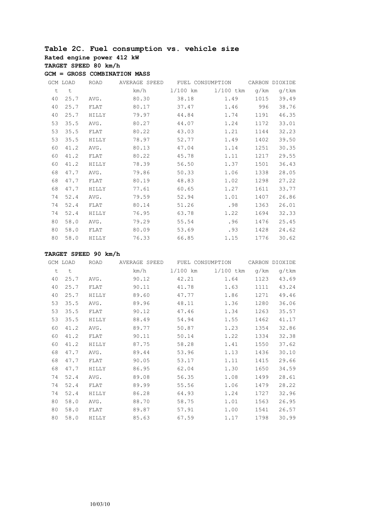# **Table 2C. Fuel consumption vs. vehicle size**

**Rated engine power 412 kW**

**TARGET SPEED 80 km/h**

**GCM = GROSS COMBINATION MASS**

|    | GCM LOAD | ROAD         | AVERAGE SPEED | FUEL CONSUMPTION |             |      | CARBON DIOXIDE |
|----|----------|--------------|---------------|------------------|-------------|------|----------------|
| t  | $\sf t$  |              | km/h          | $1/100$ km       | $1/100$ tkm | q/km | q/tkm          |
| 40 | 25.7     | AVG.         | 80.30         | 38.18            | 1.49        | 1015 | 39.49          |
| 40 | 25.7     | FLAT         | 80.17         | 37.47            | 1.46        | 996  | 38.76          |
| 40 | 25.7     | HILLY        | 79.97         | 44.84            | 1.74        | 1191 | 46.35          |
| 53 | 35.5     | AVG.         | 80.27         | 44.07            | 1.24        | 1172 | 33.01          |
| 53 | 35.5     | FLAT         | 80.22         | 43.03            | 1.21        | 1144 | 32.23          |
| 53 | 35.5     | <b>HILLY</b> | 78.97         | 52.77            | 1.49        | 1402 | 39.50          |
| 60 | 41.2     | AVG.         | 80.13         | 47.04            | 1.14        | 1251 | 30.35          |
| 60 | 41.2     | FLAT         | 80.22         | 45.78            | 1.11        | 1217 | 29.55          |
| 60 | 41.2     | HILLY        | 78.39         | 56.50            | 1.37        | 1501 | 36.43          |
| 68 | 47.7     | AVG.         | 79.86         | 50.33            | 1.06        | 1338 | 28.05          |
| 68 | 47.7     | FLAT         | 80.19         | 48.83            | 1.02        | 1298 | 27.22          |
| 68 | 47.7     | HILLY        | 77.61         | 60.65            | 1.27        | 1611 | 33.77          |
| 74 | 52.4     | AVG.         | 79.59         | 52.94            | 1.01        | 1407 | 26.86          |
| 74 | 52.4     | FLAT         | 80.14         | 51.26            | .98         | 1363 | 26.01          |
| 74 | 52.4     | HILLY        | 76.95         | 63.78            | 1.22        | 1694 | 32.33          |
| 80 | 58.0     | AVG.         | 79.29         | 55.54            | .96         | 1476 | 25.45          |
| 80 | 58.0     | FLAT         | 80.09         | 53.69            | .93         | 1428 | 24.62          |
| 80 | 58.0     | HILLY        | 76.33         | 66.85            | 1.15        | 1776 | 30.62          |

|    | GCM LOAD | ROAD  | AVERAGE SPEED | FUEL CONSUMPTION |           |      | CARBON DIOXIDE |
|----|----------|-------|---------------|------------------|-----------|------|----------------|
| t  | t        |       | km/h          | $1/100$ km       | 1/100 tkm | q/km | q/tkm          |
| 40 | 25.7     | AVG.  | 90.12         | 42.21            | 1.64      | 1123 | 43.69          |
| 40 | 25.7     | FLAT  | 90.11         | 41.78            | 1.63      | 1111 | 43.24          |
| 40 | 25.7     | HILLY | 89.60         | 47.77            | 1.86      | 1271 | 49.46          |
| 53 | 35.5     | AVG.  | 89.96         | 48.11            | 1.36      | 1280 | 36.06          |
| 53 | 35.5     | FLAT  | 90.12         | 47.46            | 1.34      | 1263 | 35.57          |
| 53 | 35.5     | HILLY | 88.49         | 54.94            | 1.55      | 1462 | 41.17          |
| 60 | 41.2     | AVG.  | 89.77         | 50.87            | 1.23      | 1354 | 32.86          |
| 60 | 41.2     | FLAT  | 90.11         | 50.14            | 1.22      | 1334 | 32.38          |
| 60 | 41.2     | HILLY | 87.75         | 58.28            | 1.41      | 1550 | 37.62          |
| 68 | 47.7     | AVG.  | 89.44         | 53.96            | 1.13      | 1436 | 30.10          |
| 68 | 47.7     | FLAT  | 90.05         | 53.17            | 1.11      | 1415 | 29.66          |
| 68 | 47.7     | HILLY | 86.95         | 62.04            | 1.30      | 1650 | 34.59          |
| 74 | 52.4     | AVG.  | 89.08         | 56.35            | 1.08      | 1499 | 28.61          |
| 74 | 52.4     | FLAT  | 89.99         | 55.56            | 1.06      | 1479 | 28.22          |
| 74 | 52.4     | HILLY | 86.28         | 64.93            | 1.24      | 1727 | 32.96          |
| 80 | 58.0     | AVG.  | 88.70         | 58.75            | 1.01      | 1563 | 26.95          |
| 80 | 58.0     | FLAT  | 89.87         | 57.91            | 1.00      | 1541 | 26.57          |
| 80 | 58.0     | HILLY | 85.63         | 67.59            | 1.17      | 1798 | 30.99          |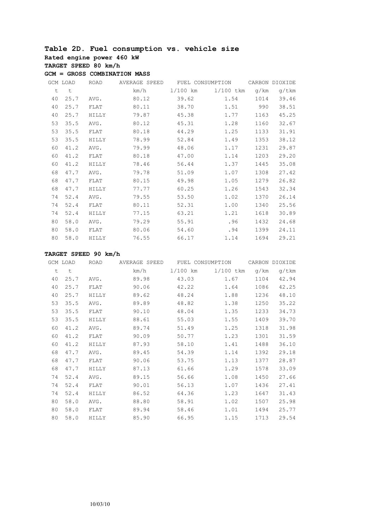# **Table 2D. Fuel consumption vs. vehicle size**

**Rated engine power 460 kW**

**TARGET SPEED 80 km/h**

**GCM = GROSS COMBINATION MASS**

|    | GCM LOAD | ROAD         | AVERAGE SPEED | FUEL CONSUMPTION |             |      | CARBON DIOXIDE |
|----|----------|--------------|---------------|------------------|-------------|------|----------------|
| t  | t        |              | km/h          | 1/100 km         | $1/100$ tkm | g/km | g/tkm          |
| 40 | 25.7     | AVG.         | 80.12         | 39.62            | 1.54        | 1014 | 39.46          |
| 40 | 25.7     | FLAT         | 80.11         | 38.70            | 1.51        | 990  | 38.51          |
| 40 | 25.7     | HILLY        | 79.87         | 45.38            | 1.77        | 1163 | 45.25          |
| 53 | 35.5     | AVG.         | 80.12         | 45.31            | 1.28        | 1160 | 32.67          |
| 53 | 35.5     | FLAT         | 80.18         | 44.29            | 1.25        | 1133 | 31.91          |
| 53 | 35.5     | HILLY        | 78.99         | 52.84            | 1.49        | 1353 | 38.12          |
| 60 | 41.2     | AVG.         | 79.99         | 48.06            | 1.17        | 1231 | 29.87          |
| 60 | 41.2     | FLAT         | 80.18         | 47.00            | 1.14        | 1203 | 29.20          |
| 60 | 41.2     | <b>HILLY</b> | 78.46         | 56.44            | 1.37        | 1445 | 35.08          |
| 68 | 47.7     | AVG.         | 79.78         | 51.09            | 1.07        | 1308 | 27.42          |
| 68 | 47.7     | FLAT         | 80.15         | 49.98            | 1.05        | 1279 | 26.82          |
| 68 | 47.7     | HILLY        | 77.77         | 60.25            | 1.26        | 1543 | 32.34          |
| 74 | 52.4     | AVG.         | 79.55         | 53.50            | 1.02        | 1370 | 26.14          |
| 74 | 52.4     | FLAT         | 80.11         | 52.31            | 1.00        | 1340 | 25.56          |
| 74 | 52.4     | HILLY        | 77.15         | 63.21            | 1.21        | 1618 | 30.89          |
| 80 | 58.0     | AVG.         | 79.29         | 55.91            | .96         | 1432 | 24.68          |
| 80 | 58.0     | FLAT         | 80.06         | 54.60            | .94         | 1399 | 24.11          |
| 80 | 58.0     | HILLY        | 76.55         | 66.17            | 1.14        | 1694 | 29.21          |

|    | GCM LOAD | ROAD  | AVERAGE SPEED | FUEL CONSUMPTION |           |      | CARBON DIOXIDE |
|----|----------|-------|---------------|------------------|-----------|------|----------------|
| t  | t        |       | km/h          | $1/100$ km       | 1/100 tkm | q/km | q/tkm          |
| 40 | 25.7     | AVG.  | 89.98         | 43.03            | 1.67      | 1104 | 42.94          |
| 40 | 25.7     | FLAT  | 90.06         | 42.22            | 1.64      | 1086 | 42.25          |
| 40 | 25.7     | HILLY | 89.62         | 48.24            | 1.88      | 1236 | 48.10          |
| 53 | 35.5     | AVG.  | 89.89         | 48.82            | 1.38      | 1250 | 35.22          |
| 53 | 35.5     | FLAT  | 90.10         | 48.04            | 1.35      | 1233 | 34.73          |
| 53 | 35.5     | HILLY | 88.61         | 55.03            | 1.55      | 1409 | 39.70          |
| 60 | 41.2     | AVG.  | 89.74         | 51.49            | 1.25      | 1318 | 31.98          |
| 60 | 41.2     | FLAT  | 90.09         | 50.77            | 1.23      | 1301 | 31.59          |
| 60 | 41.2     | HILLY | 87.93         | 58.10            | 1.41      | 1488 | 36.10          |
| 68 | 47.7     | AVG.  | 89.45         | 54.39            | 1.14      | 1392 | 29.18          |
| 68 | 47.7     | FLAT  | 90.06         | 53.75            | 1.13      | 1377 | 28.87          |
| 68 | 47.7     | HILLY | 87.13         | 61.66            | 1.29      | 1578 | 33.09          |
| 74 | 52.4     | AVG.  | 89.15         | 56.66            | 1.08      | 1450 | 27.66          |
| 74 | 52.4     | FLAT  | 90.01         | 56.13            | 1.07      | 1436 | 27.41          |
| 74 | 52.4     | HILLY | 86.52         | 64.36            | 1.23      | 1647 | 31.43          |
| 80 | 58.0     | AVG.  | 88.80         | 58.91            | 1.02      | 1507 | 25.98          |
| 80 | 58.0     | FLAT  | 89.94         | 58.46            | 1.01      | 1494 | 25.77          |
| 80 | 58.0     | HILLY | 85.90         | 66.95            | 1.15      | 1713 | 29.54          |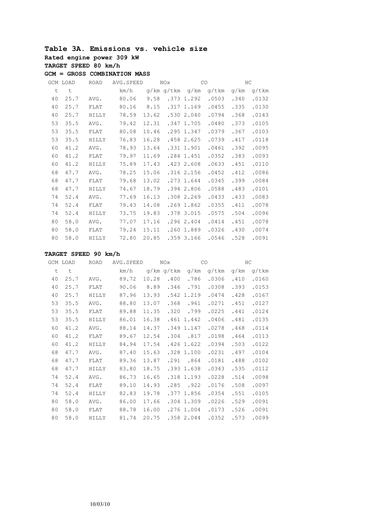#### **Table 3A. Emissions vs. vehicle size Rated engine power 309 kW TARGET SPEED 80 km/h GCM = GROSS COMBINATION MASS**

|    | GCM LOAD | <b>ROAD</b>  | AVG. SPEED |       | NOx.       | CO           |       | HC   |       |
|----|----------|--------------|------------|-------|------------|--------------|-------|------|-------|
| t  | t        |              | km/h       |       | g/km g/tkm | g/km         | q/tkm | q/km | g/tkm |
| 40 | 25.7     | AVG.         | 80.06      | 9.58  |            | .373 1.292   | .0503 | .340 | .0132 |
| 40 | 25.7     | FLAT         | 80.16      | 8.15  |            | $.317$ 1.169 | .0455 | .335 | .0130 |
| 40 | 25.7     | HILLY        | 78.59      | 13.62 |            | .5302.040    | .0794 | .368 | .0143 |
| 53 | 35.5     | AVG.         | 79.42      | 12.31 |            | .347 1.705   | .0480 | .373 | .0105 |
| 53 | 35.5     | FLAT         | 80.08      | 10.46 |            | .295 1.347   | .0379 | .367 | .0103 |
| 53 | 35.5     | <b>HILLY</b> | 76.83      | 16.28 |            | .458 2.625   | .0739 | .417 | .0118 |
| 60 | 41.2     | AVG.         | 78.93      | 13.64 |            | .331 1.901   | .0461 | .392 | .0095 |
| 60 | 41.2     | FLAT         | 79.97      | 11.69 |            | .284 1.451   | .0352 | .383 | .0093 |
| 60 | 41.2     | HILLY        | 75.89      | 17.43 |            | .4232.608    | .0633 | .451 | .0110 |
| 68 | 47.7     | AVG.         | 78.25      | 15.06 |            | .316 2.156   | .0452 | .412 | .0086 |
| 68 | 47.7     | FLAT         | 79.68      | 13.02 |            | $.273$ 1.644 | .0345 | .399 | .0084 |
| 68 | 47.7     | HILLY        | 74.67      | 18.79 |            | .394 2.806   | .0588 | .483 | .0101 |
| 74 | 52.4     | AVG.         | 77.69      | 16.13 |            | .308 2.269   | .0433 | .433 | .0083 |
| 74 | 52.4     | FLAT         | 79.43      | 14.08 |            | $.269$ 1.862 | .0355 | .411 | .0078 |
| 74 | 52.4     | HILLY        | 73.75      | 19.83 |            | .378 3.015   | .0575 | .504 | .0096 |
| 80 | 58.0     | AVG.         | 77.07      | 17.16 |            | .296 2.404   | .0414 | .451 | .0078 |
| 80 | 58.0     | FLAT         | 79.24      | 15.11 |            | .260 1.889   | .0326 | .430 | .0074 |
| 80 | 58.0     | HILLY        | 72.80      | 20.85 |            | .359 3.166   | .0546 | .528 | .0091 |

|    | GCM LOAD | ROAD  | AVG.SPEED |       | NOx        |              | CO    | HC   |       |
|----|----------|-------|-----------|-------|------------|--------------|-------|------|-------|
| t  | t        |       | km/h      |       | g/km g/tkm | g/km         | g/tkm | q/km | g/tkm |
| 40 | 25.7     | AVG.  | 89.72     | 10.28 | .400       | .786         | .0306 | .410 | .0160 |
| 40 | 25.7     | FLAT  | 90.06     | 8.89  | .346       | .791         | .0308 | .393 | .0153 |
| 40 | 25.7     | HILLY | 87.96     | 13.93 | .542       | 1.219        | .0474 | .428 | .0167 |
| 53 | 35.5     | AVG.  | 88.80     | 13.07 | .368       | .961         | .0271 | .451 | .0127 |
| 53 | 35.5     | FLAT  | 89.88     | 11.35 | .320       | .799         | .0225 | .441 | .0124 |
| 53 | 35.5     | HILLY | 86.01     | 16.38 |            | .4611.442    | .0406 | .481 | .0135 |
| 60 | 41.2     | AVG.  | 88.14     | 14.37 |            | .349 1.147   | .0278 | .468 | .0114 |
| 60 | 41.2     | FLAT  | 89.67     | 12.54 | .304       | .817         | .0198 | .464 | .0113 |
| 60 | 41.2     | HILLY | 84.94     | 17.54 |            | $.426$ 1.622 | .0394 | .503 | .0122 |
| 68 | 47.7     | AVG.  | 87.40     | 15.63 |            | .328 1.100   | .0231 | .497 | .0104 |
| 68 | 47.7     | FLAT  | 89.36     | 13.87 | .291       | .864         | .0181 | .488 | .0102 |
| 68 | 47.7     | HILLY | 83.80     | 18.75 |            | .393 1.638   | .0343 | .535 | .0112 |
| 74 | 52.4     | AVG.  | 86.73     | 16.65 |            | .318 1.193   | .0228 | .514 | .0098 |
| 74 | 52.4     | FLAT  | 89.10     | 14.93 | .285       | .922         | .0176 | .508 | .0097 |
| 74 | 52.4     | HILLY | 82.83     | 19.78 |            | .3771.856    | .0354 | .551 | .0105 |
| 80 | 58.0     | AVG.  | 86.00     | 17.66 |            | .304 1.309   | .0226 | .529 | .0091 |
| 80 | 58.0     | FLAT  | 88.78     | 16.00 |            | .276 1.004   | .0173 | .526 | .0091 |
| 80 | 58.0     | HILLY | 81.74     | 20.75 |            | .358 2.044   | .0352 | .573 | .0099 |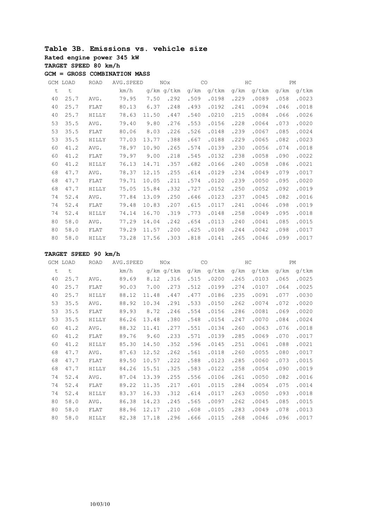# **Table 3B. Emissions vs. vehicle size Rated engine power 345 kW TARGET SPEED 80 km/h**

**GCM = GROSS COMBINATION MASS**

|    | GCM LOAD | <b>ROAD</b> | AVG. SPEED |       | <b>NOx</b> |      | CO    | HC   |       |      | PM    |
|----|----------|-------------|------------|-------|------------|------|-------|------|-------|------|-------|
| t  | t        |             | km/h       |       | g/km g/tkm | q/km | q/tkm | q/km | q/tkm | q/km | q/tkm |
| 40 | 25.7     | AVG.        | 79.95      | 7.50  | .292       | .509 | .0198 | .229 | .0089 | .058 | .0023 |
| 40 | 25.7     | FLAT        | 80.13      | 6.37  | .248       | .493 | .0192 | .241 | .0094 | .046 | .0018 |
| 40 | 25.7     | HILLY       | 78.63      | 11.50 | .447       | .540 | .0210 | .215 | .0084 | .066 | .0026 |
| 53 | 35.5     | AVG.        | 79.40      | 9.80  | .276       | .553 | .0156 | .228 | .0064 | .073 | .0020 |
| 53 | 35.5     | FLAT        | 80.06      | 8.03  | .226       | .526 | .0148 | .239 | .0067 | .085 | .0024 |
| 53 | 35.5     | HILLY       | 77.03      | 13.77 | .388       | .667 | .0188 | .229 | .0065 | .082 | .0023 |
| 60 | 41.2     | AVG.        | 78.97      | 10.90 | .265       | .574 | .0139 | .230 | .0056 | .074 | .0018 |
| 60 | 41.2     | FLAT        | 79.97      | 9.00  | .218       | .545 | .0132 | .238 | .0058 | .090 | .0022 |
| 60 | 41.2     | HILLY       | 76.13      | 14.71 | .357       | .682 | .0166 | .240 | .0058 | .086 | .0021 |
| 68 | 47.7     | AVG.        | 78.37      | 12.15 | .255       | .614 | .0129 | .234 | .0049 | .079 | .0017 |
| 68 | 47.7     | FLAT        | 79.71      | 10.05 | .211       | .574 | .0120 | .239 | .0050 | .095 | .0020 |
| 68 | 47.7     | HILLY       | 75.05      | 15.84 | .332       | .727 | .0152 | .250 | .0052 | .092 | .0019 |
| 74 | 52.4     | AVG.        | 77.84      | 13.09 | .250       | .646 | .0123 | .237 | .0045 | .082 | .0016 |
| 74 | 52.4     | FLAT        | 79.48      | 10.83 | .207       | .615 | .0117 | .241 | .0046 | .098 | .0019 |
| 74 | 52.4     | HILLY       | 74.14      | 16.70 | .319       | .773 | .0148 | .258 | .0049 | .095 | .0018 |
| 80 | 58.0     | AVG.        | 77.29      | 14.04 | .242       | .654 | .0113 | .240 | .0041 | .085 | .0015 |
| 80 | 58.0     | FLAT        | 79.29      | 11.57 | .200       | .625 | .0108 | .244 | .0042 | .098 | .0017 |
| 80 | 58.0     | HILLY       | 73.28      | 17.56 | .303       | .818 | .0141 | .265 | .0046 | .099 | .0017 |

|    | GCM LOAD | <b>ROAD</b> | AVG. SPEED |       | NOx        |      | CO    |      | HC    |      | PM    |
|----|----------|-------------|------------|-------|------------|------|-------|------|-------|------|-------|
| t  | t        |             | km/h       |       | q/km q/tkm | g/km | g/tkm | g/km | q/tkm | q/km | q/tkm |
| 40 | 25.7     | AVG.        | 89.69      | 8.12  | .316       | .515 | .0200 | .265 | .0103 | .065 | .0025 |
| 40 | 25.7     | FLAT        | 90.03      | 7.00  | .273       | .512 | .0199 | .274 | .0107 | .064 | .0025 |
| 40 | 25.7     | HILLY       | 88.12      | 11.48 | .447       | .477 | .0186 | .235 | .0091 | .077 | .0030 |
| 53 | 35.5     | AVG.        | 88.92      | 10.34 | .291       | .533 | .0150 | .262 | .0074 | .072 | .0020 |
| 53 | 35.5     | FLAT        | 89.93      | 8.72  | .246       | .554 | .0156 | .286 | .0081 | .069 | .0020 |
| 53 | 35.5     | HILLY       | 86.26      | 13.48 | .380       | .548 | .0154 | .247 | .0070 | .084 | .0024 |
| 60 | 41.2     | AVG.        | 88.32      | 11.41 | .277       | .551 | .0134 | .260 | .0063 | .076 | .0018 |
| 60 | 41.2     | FLAT        | 89.76      | 9.60  | .233       | .571 | .0139 | .285 | .0069 | .070 | .0017 |
| 60 | 41.2     | HILLY       | 85.30      | 14.50 | .352       | .596 | .0145 | .251 | .0061 | .088 | .0021 |
| 68 | 47.7     | AVG.        | 87.63      | 12.52 | .262       | .561 | .0118 | .260 | .0055 | .080 | .0017 |
| 68 | 47.7     | FLAT        | 89.50      | 10.57 | .222       | .588 | .0123 | .285 | .0060 | .073 | .0015 |
| 68 | 47.7     | HILLY       | 84.26      | 15.51 | .325       | .583 | .0122 | .258 | .0054 | .090 | .0019 |
| 74 | 52.4     | AVG.        | 87.04      | 13.39 | .255       | .556 | .0106 | .261 | .0050 | .082 | .0016 |
| 74 | 52.4     | FLAT        | 89.22      | 11.35 | .217       | .601 | .0115 | .284 | .0054 | .075 | .0014 |
| 74 | 52.4     | HILLY       | 83.37      | 16.33 | .312       | .614 | .0117 | .263 | .0050 | .093 | .0018 |
| 80 | 58.0     | AVG.        | 86.38      | 14.23 | .245       | .565 | .0097 | .262 | .0045 | .085 | .0015 |
| 80 | 58.0     | FLAT        | 88.96      | 12.17 | .210       | .608 | .0105 | .283 | .0049 | .078 | .0013 |
| 80 | 58.0     | HILLY       | 82.38      | 17.18 | .296       | .666 | .0115 | .268 | .0046 | .096 | .0017 |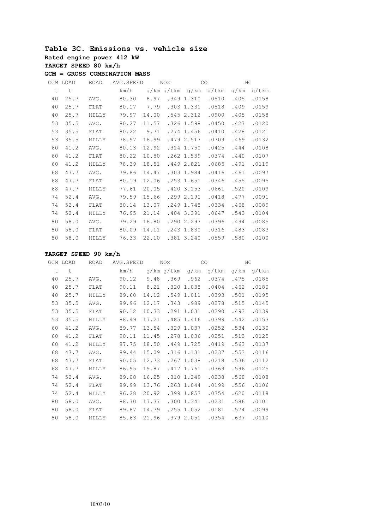#### **Table 3C. Emissions vs. vehicle size Rated engine power 412 kW TARGET SPEED 80 km/h GCM = GROSS COMBINATION MASS**

|    | GCM LOAD | <b>ROAD</b>  | AVG. SPEED | NOX   |            | CO           |       | HC   |       |
|----|----------|--------------|------------|-------|------------|--------------|-------|------|-------|
| t  | t        |              | km/h       |       | g/km g/tkm | g/km         | q/tkm | q/km | q/tkm |
| 40 | 25.7     | AVG.         | 80.30      | 8.97  | .349       | 1.310        | .0510 | .405 | .0158 |
| 40 | 25.7     | FLAT         | 80.17      | 7.79  |            | $.303$ 1.331 | .0518 | .409 | .0159 |
| 40 | 25.7     | HILLY        | 79.97      | 14.00 |            | .5452.312    | .0900 | .405 | .0158 |
| 53 | 35.5     | AVG.         | 80.27      | 11.57 |            | .326 1.598   | .0450 | .427 | .0120 |
| 53 | 35.5     | FLAT         | 80.22      | 9.71  |            | .274 1.456   | .0410 | .428 | .0121 |
| 53 | 35.5     | HILLY        | 78.97      | 16.99 |            | .479 2.517   | .0709 | .469 | .0132 |
| 60 | 41.2     | AVG.         | 80.13      | 12.92 |            | .314 1.750   | .0425 | .444 | .0108 |
| 60 | 41.2     | FLAT         | 80.22      | 10.80 |            | .262 1.539   | .0374 | .440 | .0107 |
| 60 | 41.2     | <b>HILLY</b> | 78.39      | 18.51 |            | .449 2.821   | .0685 | .491 | .0119 |
| 68 | 47.7     | AVG.         | 79.86      | 14.47 |            | .303 1.984   | .0416 | .461 | .0097 |
| 68 | 47.7     | FLAT         | 80.19      | 12.06 |            | $.253$ 1.651 | .0346 | .455 | .0095 |
| 68 | 47.7     | HILLY        | 77.61      | 20.05 |            | $.420$ 3.153 | .0661 | .520 | .0109 |
| 74 | 52.4     | AVG.         | 79.59      | 15.66 |            | .299 2.191   | .0418 | .477 | .0091 |
| 74 | 52.4     | FLAT         | 80.14      | 13.07 |            | .249 1.748   | .0334 | .468 | .0089 |
| 74 | 52.4     | <b>HILLY</b> | 76.95      | 21.14 |            | $.404$ 3.391 | .0647 | .543 | .0104 |
| 80 | 58.0     | AVG.         | 79.29      | 16.80 |            | .290 2.297   | .0396 | .494 | .0085 |
| 80 | 58.0     | FLAT         | 80.09      | 14.11 |            | .243 1.830   | .0316 | .483 | .0083 |
| 80 | 58.0     | HILLY        | 76.33      | 22.10 |            | .381 3.240   | .0559 | .580 | .0100 |

|    | GCM LOAD | ROAD         | AVG.SPEED |       | NOx        |              | CO    | НC   |       |
|----|----------|--------------|-----------|-------|------------|--------------|-------|------|-------|
| t  | $\sf t$  |              | km/h      |       | g/km g/tkm | g/km         | g/tkm | q/km | g/tkm |
| 40 | 25.7     | AVG.         | 90.12     | 9.48  | .369       | .962         | .0374 | .475 | .0185 |
| 40 | 25.7     | FLAT         | 90.11     | 8.21  |            | .320 1.038   | .0404 | .462 | .0180 |
| 40 | 25.7     | <b>HILLY</b> | 89.60     | 14.12 |            | .549 1.011   | .0393 | .501 | .0195 |
| 53 | 35.5     | AVG.         | 89.96     | 12.17 | .343       | .989         | .0278 | .515 | .0145 |
| 53 | 35.5     | FLAT         | 90.12     | 10.33 |            | .291 1.031   | .0290 | .493 | .0139 |
| 53 | 35.5     | HILLY        | 88.49     | 17.21 |            | .485 1.416   | .0399 | .542 | .0153 |
| 60 | 41.2     | AVG.         | 89.77     | 13.54 |            | .329 1.037   | .0252 | .534 | .0130 |
| 60 | 41.2     | FLAT         | 90.11     | 11.45 |            | .278 1.036   | .0251 | .513 | .0125 |
| 60 | 41.2     | HILLY        | 87.75     | 18.50 |            | .449 1.725   | .0419 | .563 | .0137 |
| 68 | 47.7     | AVG.         | 89.44     | 15.09 |            | .316 1.131   | .0237 | .553 | .0116 |
| 68 | 47.7     | FLAT         | 90.05     | 12.73 |            | .267 1.038   | .0218 | .536 | .0112 |
| 68 | 47.7     | <b>HILLY</b> | 86.95     | 19.87 |            | .417 1.761   | .0369 | .596 | .0125 |
| 74 | 52.4     | AVG.         | 89.08     | 16.25 |            | .310 1.249   | .0238 | .568 | .0108 |
| 74 | 52.4     | FLAT         | 89.99     | 13.76 |            | .2631.044    | .0199 | .556 | .0106 |
| 74 | 52.4     | HILLY        | 86.28     | 20.92 |            | .399 1.853   | .0354 | .620 | .0118 |
| 80 | 58.0     | AVG.         | 88.70     | 17.37 |            | .300 1.341   | .0231 | .586 | .0101 |
| 80 | 58.0     | FLAT         | 89.87     | 14.79 |            | $.255$ 1.052 | .0181 | .574 | .0099 |
| 80 | 58.0     | HILLY        | 85.63     | 21.96 |            | .379 2.051   | .0354 | .637 | .0110 |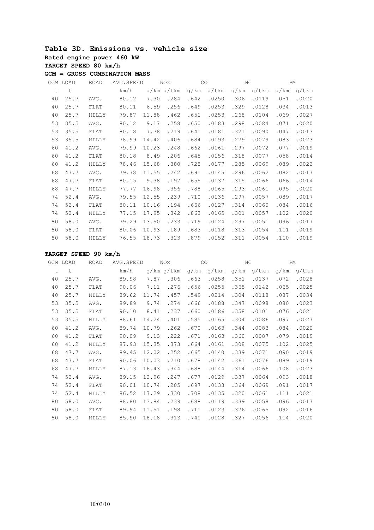#### **Table 3D. Emissions vs. vehicle size Rated engine power 460 kW TARGET SPEED 80 km/h GCM = GROSS COMBINATION MASS**

|    | GCM LOAD | <b>ROAD</b>  | AVG.SPEED |       | <b>NOx</b> | CO   |       |      | HC    |      | <b>PM</b> |
|----|----------|--------------|-----------|-------|------------|------|-------|------|-------|------|-----------|
| t  | t        |              | km/h      |       | q/km q/tkm | q/km | q/tkm | q/km | q/tkm | q/km | $q/t$ km  |
| 40 | 25.7     | AVG.         | 80.12     | 7.30  | .284       | .642 | .0250 | .306 | .0119 | .051 | .0020     |
| 40 | 25.7     | FLAT         | 80.11     | 6.59  | .256       | .649 | .0253 | .329 | .0128 | .034 | .0013     |
| 40 | 25.7     | HILLY        | 79.87     | 11.88 | .462       | .651 | .0253 | .268 | .0104 | .069 | .0027     |
| 53 | 35.5     | AVG.         | 80.12     | 9.17  | .258       | .650 | .0183 | .298 | .0084 | .071 | .0020     |
| 53 | 35.5     | FLAT         | 80.18     | 7.78  | .219       | .641 | .0181 | .321 | .0090 | .047 | .0013     |
| 53 | 35.5     | HILLY        | 78.99     | 14.42 | .406       | .684 | .0193 | .279 | .0079 | .083 | .0023     |
| 60 | 41.2     | AVG.         | 79.99     | 10.23 | .248       | .662 | .0161 | .297 | .0072 | .077 | .0019     |
| 60 | 41.2     | FLAT         | 80.18     | 8.49  | .206       | .645 | .0156 | .318 | .0077 | .058 | .0014     |
| 60 | 41.2     | HILLY        | 78.46     | 15.68 | .380       | .728 | .0177 | .285 | .0069 | .089 | .0022     |
| 68 | 47.7     | AVG.         | 79.78     | 11.55 | .242       | .691 | .0145 | .296 | .0062 | .082 | .0017     |
| 68 | 47.7     | FLAT         | 80.15     | 9.38  | .197       | .655 | .0137 | .315 | .0066 | .066 | .0014     |
| 68 | 47.7     | HILLY        | 77.77     | 16.98 | .356       | .788 | .0165 | .293 | .0061 | .095 | .0020     |
| 74 | 52.4     | AVG.         | 79.55     | 12.55 | .239       | .710 | .0136 | .297 | .0057 | .089 | .0017     |
| 74 | 52.4     | FLAT         | 80.11     | 10.16 | .194       | .666 | .0127 | .314 | .0060 | .084 | .0016     |
| 74 | 52.4     | HILLY        | 77.15     | 17.95 | .342       | .863 | .0165 | .301 | .0057 | .102 | .0020     |
| 80 | 58.0     | AVG.         | 79.29     | 13.50 | .233       | .719 | .0124 | .297 | .0051 | .096 | .0017     |
| 80 | 58.0     | FLAT         | 80.06     | 10.93 | .189       | .683 | .0118 | .313 | .0054 | .111 | .0019     |
| 80 | 58.0     | <b>HILLY</b> | 76.55     | 18.73 | .323       | .879 | .0152 | .311 | .0054 | .110 | .0019     |

|    | GCM LOAD | <b>ROAD</b> | AVG. SPEED |       | <b>NOx</b> |      | CO    |      | HC    |      | PM    |
|----|----------|-------------|------------|-------|------------|------|-------|------|-------|------|-------|
| t  | t        |             | km/h       |       | g/km g/tkm | q/km | q/tkm | q/km | q/tkm | g/km | q/tkm |
| 40 | 25.7     | AVG.        | 89.98      | 7.87  | .306       | .663 | .0258 | .351 | .0137 | .072 | .0028 |
| 40 | 25.7     | FLAT        | 90.06      | 7.11  | .276       | .656 | .0255 | .365 | .0142 | .065 | .0025 |
| 40 | 25.7     | HILLY       | 89.62      | 11.74 | .457       | .549 | .0214 | .304 | .0118 | .087 | .0034 |
| 53 | 35.5     | AVG.        | 89.89      | 9.74  | .274       | .666 | .0188 | .347 | .0098 | .080 | .0023 |
| 53 | 35.5     | FLAT        | 90.10      | 8.41  | .237       | .660 | .0186 | .358 | .0101 | .076 | .0021 |
| 53 | 35.5     | HILLY       | 88.61      | 14.24 | .401       | .585 | .0165 | .304 | .0086 | .097 | .0027 |
| 60 | 41.2     | AVG.        | 89.74      | 10.79 | .262       | .670 | .0163 | .344 | .0083 | .084 | .0020 |
| 60 | 41.2     | FLAT        | 90.09      | 9.13  | .222       | .671 | .0163 | .360 | .0087 | .079 | .0019 |
| 60 | 41.2     | HILLY       | 87.93      | 15.35 | .373       | .664 | .0161 | .308 | .0075 | .102 | .0025 |
| 68 | 47.7     | AVG.        | 89.45      | 12.02 | .252       | .665 | .0140 | .339 | .0071 | .090 | .0019 |
| 68 | 47.7     | FLAT        | 90.06      | 10.03 | .210       | .678 | .0142 | .361 | .0076 | .089 | .0019 |
| 68 | 47.7     | HILLY       | 87.13      | 16.43 | .344       | .688 | .0144 | .314 | .0066 | .108 | .0023 |
| 74 | 52.4     | AVG.        | 89.15      | 12.96 | .247       | .677 | .0129 | .337 | .0064 | .093 | .0018 |
| 74 | 52.4     | FLAT        | 90.01      | 10.74 | .205       | .697 | .0133 | .364 | .0069 | .091 | .0017 |
| 74 | 52.4     | HILLY       | 86.52      | 17.29 | .330       | .708 | .0135 | .320 | .0061 | .111 | .0021 |
| 80 | 58.0     | AVG.        | 88.80      | 13.84 | .239       | .688 | .0119 | .339 | .0058 | .096 | .0017 |
| 80 | 58.0     | FLAT        | 89.94      | 11.51 | .198       | .711 | .0123 | .376 | .0065 | .092 | .0016 |
| 80 | 58.0     | HILLY       | 85.90      | 18.18 | .313       | .741 | .0128 | .327 | .0056 | .114 | .0020 |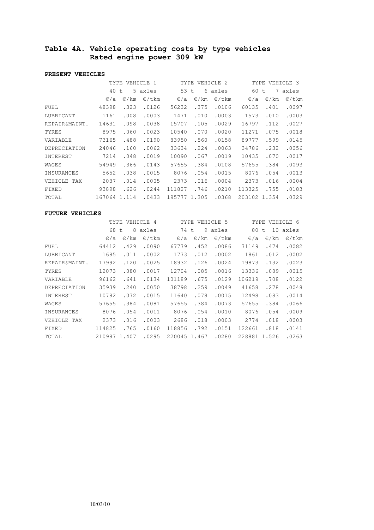# **Table 4A. Vehicle operating costs by type vehicles Rated engine power 309 kW**

#### **PRESENT VEHICLES**

|                   | TYPE<br>VEHICLE 1 |                |                 | TYPE            |                | VEHICLE 2       | TYPE VEHICLE 3  |                |                 |
|-------------------|-------------------|----------------|-----------------|-----------------|----------------|-----------------|-----------------|----------------|-----------------|
|                   | 40 t              |                | 5 axles         | 53 t            |                | 6 axles         | 60              | 7<br>t.        | axles           |
|                   | $\varepsilon/a$   | $\epsilon$ /km | $\epsilon$ /tkm | $\varepsilon/a$ | $\epsilon$ /km | $\epsilon$ /tkm | $\varepsilon/a$ | $\epsilon$ /km | $\epsilon$ /tkm |
| FUEL              | 48398             | .323           | .0126           | 56232           | .375           | .0106           | 60135           | .401           | .0097           |
| LUBRICANT         | 1161              | .008           | .0003           | 1471            | .010           | .0003           | 1573            | .010           | .0003           |
| REPAIR&MAINT.     | 14631             | .098           | .0038           | 15707           | .105           | .0029           | 16797           | .112           | .0027           |
| TYRES             | 8975              | .060           | .0023           | 10540           | .070           | .0020           | 11271           | .075           | .0018           |
| VARIABLE          | 73165             | .488           | .0190           | 83950           | .560           | .0158           | 89777           | .599           | .0145           |
| DEPRECIATION      | 24046             | .160           | .0062           | 33634           | .224           | .0063           | 34786           | .232           | .0056           |
| INTEREST          | 7214              | .048           | .0019           | 10090           | .067           | .0019           | 10435           | .070           | .0017           |
| WAGES             | 54949             | .366           | .0143           | 57655           | .384           | .0108           | 57655           | .384           | .0093           |
| <b>INSURANCES</b> | 5652              | .038           | .0015           | 8076            | .054           | .0015           | 8076            | .054           | .0013           |
| VEHICLE<br>TAX    | 2037              | .014           | .0005           | 2373            | .016           | .0004           | 2373            | .016           | .0004           |
| FIXED             | 93898             | .626           | .0244           | 111827          | .746           | .0210           | 113325          | .755           | .0183           |
| TOTAL             | 167064            | 1.114          | .0433           | 195777 1.305    |                | .0368           | 203102          | 1.354          | .0329           |

|                | TYPE<br>VEHICLE 4 |                |                 | TYPE         |                | VEHICLE 5       | VEHICLE 6<br>TYPE |                  |                 |
|----------------|-------------------|----------------|-----------------|--------------|----------------|-----------------|-------------------|------------------|-----------------|
|                | 68 t              | 8              | axles           | 74           | t              | 9 axles         | 80                | 10<br>$\ddagger$ | axles           |
|                | $\varepsilon/a$   | $\epsilon$ /km | $\epsilon$ /tkm | $\epsilon/a$ | $\epsilon$ /km | $\epsilon$ /tkm | $\epsilon/a$      | $\epsilon$ /km   | $\epsilon$ /tkm |
| FUEL           | 64412             | .429           | .0090           | 67779        | .452           | .0086           | 71149             | .474             | .0082           |
| LUBRICANT      | 1685              | .011           | .0002           | 1773         | .012           | .0002           | 1861              | .012             | .0002           |
| REPAIR&MAINT.  | 17992             | .120           | .0025           | 18932        | .126           | .0024           | 19873             | .132             | .0023           |
| TYRES          | 12073             | .080           | .0017           | 12704        | .085           | .0016           | 13336             | .089             | .0015           |
| VARIABLE       | 96162             | .641           | .0134           | 101189       | .675           | .0129           | 106219            | .708             | .0122           |
| DEPRECIATION   | 35939             | .240           | .0050           | 38798        | .259           | .0049           | 41658             | .278             | .0048           |
| INTEREST       | 10782             | .072           | .0015           | 11640        | .078           | .0015           | 12498             | .083             | .0014           |
| WAGES          | 57655             | .384           | .0081           | 57655        | .384           | .0073           | 57655             | .384             | .0066           |
| INSURANCES     | 8076              | .054           | .0011           | 8076         | .054           | .0010           | 8076              | .054             | .0009           |
| VEHICLE<br>TAX | 2373              | .016           | .0003           | 2686         | .018           | .0003           | 2774              | .018             | .0003           |
| FIXED          | 114825            | .765           | .0160           | 118856       | .792           | .0151           | 122661            | .818             | .0141           |
| TOTAL          | 210987            | 1.407          | .0295           | 220045       | 1.467          | .0280           | 228881            | 1.526            | .0263           |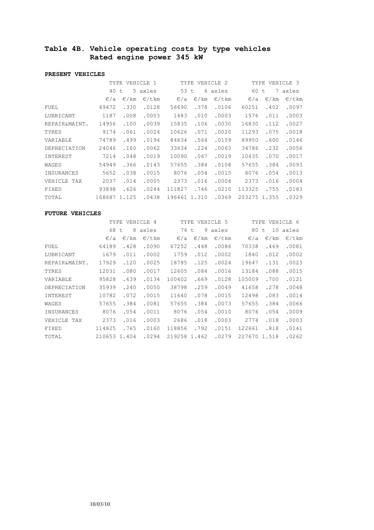# **Table 4B. Vehicle operating costs by type vehicles Rated engine power 345 kW**

#### **PRESENT VEHICLES**

|                   | TYPE<br>VEHICLE 1 |                |                 | TYPE            |                | VEHICLE 2       | TYPE<br>VEHICLE 3 |                |                 |
|-------------------|-------------------|----------------|-----------------|-----------------|----------------|-----------------|-------------------|----------------|-----------------|
|                   | 40                | t              | 5 axles         | 53              | 6<br>t         | axles           | 60                | 7<br>t         | axles           |
|                   | $\varepsilon/a$   | $\epsilon$ /km | $\epsilon$ /tkm | $\varepsilon/a$ | $\epsilon$ /km | $\epsilon$ /tkm | $\varepsilon/a$   | $\epsilon$ /km | $\epsilon$ /tkm |
| FUEL              | 49472             | .330           | .0128           | 56690           | .378           | .0106           | 60251             | .402           | .0097           |
| LUBRICANT         | 1187              | .008           | .0003           | 1483            | .010           | .0003           | 1576              | .011           | .0003           |
| REPAIR&MAINT.     | 14956             | .100           | .0039           | 15835           | .106           | .0030           | 16830             | .112           | .0027           |
| TYRES             | 9174              | .061           | .0024           | 10626           | .071           | .0020           | 11293             | .075           | .0018           |
| VARIABLE          | 74789             | .499           | .0194           | 84634           | .564           | .0159           | 89950             | .600           | .0146           |
| DEPRECIATION      | 24046             | .160           | .0062           | 33634           | .224           | .0063           | 34786             | .232           | .0056           |
| INTEREST          | 7214              | .048           | .0019           | 10090           | .067           | .0019           | 10435             | .070           | .0017           |
| WAGES             | 54949             | .366           | .0143           | 57655           | .384           | .0108           | 57655             | .384           | .0093           |
| <b>INSURANCES</b> | 5652              | .038           | .0015           | 8076            | .054           | .0015           | 8076              | .054           | .0013           |
| VEHICLE<br>TAX    | 2037              | .014           | .0005           | 2373            | .016           | .0004           | 2373              | .016           | .0004           |
| FIXED             | 93898             | .626           | .0244           | 111827          | .746           | .0210           | 113325            | .755           | .0183           |
| TOTAL             | 168687            | 1.125          | .0438           | 196461          | 1.310          | .0369           | 203275            | 1.355          | .0329           |

|                | TYPE<br>VEHICLE 4 |                |                 | TYPE            |                | VEHICLE 5       | VEHICLE 6<br>TYPE |                |                 |
|----------------|-------------------|----------------|-----------------|-----------------|----------------|-----------------|-------------------|----------------|-----------------|
|                | 68 t              | 8              | axles           | 74              | 9<br>t         | axles           | 80                | 10<br>t        | axles           |
|                | $\varepsilon/a$   | $\epsilon$ /km | $\epsilon$ /tkm | $\varepsilon/a$ | $\epsilon$ /km | $\epsilon$ /tkm | $\epsilon/a$      | $\epsilon$ /km | $\epsilon$ /tkm |
| FUEL           | 64189             | .428           | .0090           | 67252           | .448           | .0086           | 70338             | .469           | .0081           |
| LUBRICANT      | 1679              | .011           | .0002           | 1759            | .012           | .0002           | 1840              | .012           | .0002           |
| REPAIR&MAINT.  | 17929             | .120           | .0025           | 18785           | .125           | .0024           | 19647             | .131           | .0023           |
| TYRES          | 12031             | .080           | .0017           | 12605           | .084           | .0016           | 13184             | .088           | .0015           |
| VARIABLE       | 95828             | .639           | .0134           | 100402          | .669           | .0128           | 105009            | .700           | .0121           |
| DEPRECIATION   | 35939             | .240           | .0050           | 38798           | .259           | .0049           | 41658             | .278           | .0048           |
| INTEREST       | 10782             | .072           | .0015           | 11640           | .078           | .0015           | 12498             | .083           | .0014           |
| WAGES          | 57655             | .384           | .0081           | 57655           | .384           | .0073           | 57655             | .384           | .0066           |
| INSURANCES     | 8076              | .054           | .0011           | 8076            | .054           | .0010           | 8076              | .054           | .0009           |
| VEHICLE<br>TAX | 2373              | .016           | .0003           | 2686            | .018           | .0003           | 2774              | .018           | .0003           |
| FIXED          | 114825            | .765           | .0160           | 118856          | .792           | .0151           | 122661            | .818           | .0141           |
| TOTAL          | 210653 1.404      |                | .0294           | 219258          | 1.462          | .0279           | 227670            | 1.518          | .0262           |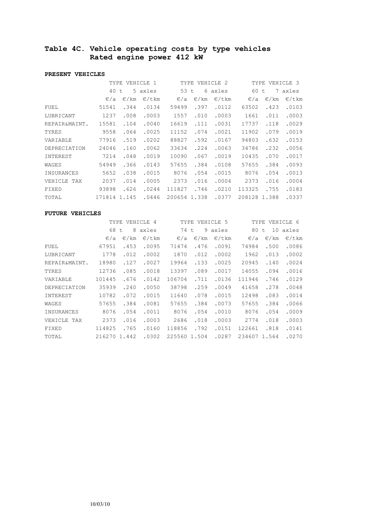# **Table 4C. Vehicle operating costs by type vehicles Rated engine power 412 kW**

#### **PRESENT VEHICLES**

|                   | TYPE<br>VEHICLE 1 |                |                 | TYPE            |                | VEHICLE 2       | TYPE VEHICLE 3 |                |                 |
|-------------------|-------------------|----------------|-----------------|-----------------|----------------|-----------------|----------------|----------------|-----------------|
|                   | 40 t              |                | 5 axles         | 53 t            |                | 6 axles         | 60 t           | 7              | axles           |
|                   | $\varepsilon/a$   | $\epsilon$ /km | $\epsilon$ /tkm | $\varepsilon/a$ | $\epsilon$ /km | $\epsilon$ /tkm | $\epsilon/a$   | $\epsilon$ /km | $\epsilon$ /tkm |
| FUEL              | 51541             | .344           | .0134           | 59499           | .397           | .0112           | 63502          | .423           | .0103           |
| LUBRICANT         | 1237              | .008           | .0003           | 1557            | .010           | .0003           | 1661           | .011           | .0003           |
| REPAIR&MAINT.     | 15581             | .104           | .0040           | 16619           | .111           | .0031           | 17737          | .118           | .0029           |
| TYRES             | 9558              | .064           | .0025           | 11152           | .074           | .0021           | 11902          | .079           | .0019           |
| VARIABLE          | 77916             | .519           | .0202           | 88827           | .592           | .0167           | 94803          | .632           | .0153           |
| DEPRECIATION      | 24046             | .160           | .0062           | 33634           | .224           | .0063           | 34786          | .232           | .0056           |
| INTEREST          | 7214              | .048           | .0019           | 10090           | .067           | .0019           | 10435          | .070           | .0017           |
| WAGES             | 54949             | .366           | .0143           | 57655           | .384           | .0108           | 57655          | .384           | .0093           |
| <b>INSURANCES</b> | 5652              | .038           | .0015           | 8076            | .054           | .0015           | 8076           | .054           | .0013           |
| VEHICLE<br>TAX    | 2037              | .014           | .0005           | 2373            | .016           | .0004           | 2373           | .016           | .0004           |
| FIXED             | 93898             | .626           | .0244           | 111827          | .746           | .0210           | 113325         | .755           | .0183           |
| TOTAL             | 171814            | 1.145          | .0446           | 200654          | 1.338          | .0377           | 208128         | 1.388          | .0337           |

|                | TYPE            |                | VEHICLE 4       | TYPE         |                | VEHICLE 5       | TYPE            |                | VEHICLE 6       |
|----------------|-----------------|----------------|-----------------|--------------|----------------|-----------------|-----------------|----------------|-----------------|
|                | 68 t            | 8              | axles           | 74           | t              | 9 axles         | 80              | 10<br>t        | axles           |
|                | $\varepsilon/a$ | $\epsilon$ /km | $\epsilon$ /tkm | $\epsilon/a$ | $\epsilon$ /km | $\epsilon$ /tkm | $\varepsilon/a$ | $\epsilon$ /km | $\epsilon$ /tkm |
| FUEL           | 67951           | .453           | .0095           | 71474        | .476           | .0091           | 74984           | .500           | .0086           |
| LUBRICANT      | 1778            | .012           | .0002           | 1870         | .012           | .0002           | 1962            | .013           | .0002           |
| REPAIR&MAINT.  | 18980           | .127           | .0027           | 19964        | .133           | .0025           | 20945           | .140           | .0024           |
| TYRES          | 12736           | .085           | .0018           | 13397        | .089           | .0017           | 14055           | .094           | .0016           |
| VARIABLE       | 101445          | .676           | .0142           | 106704       | .711           | .0136           | 111946          | .746           | .0129           |
| DEPRECIATION   | 35939           | .240           | .0050           | 38798        | .259           | .0049           | 41658           | .278           | .0048           |
| INTEREST       | 10782           | .072           | .0015           | 11640        | .078           | .0015           | 12498           | .083           | .0014           |
| WAGES          | 57655           | .384           | .0081           | 57655        | .384           | .0073           | 57655           | .384           | .0066           |
| INSURANCES     | 8076            | .054           | .0011           | 8076         | .054           | .0010           | 8076            | .054           | .0009           |
| VEHICLE<br>TAX | 2373            | .016           | .0003           | 2686         | .018           | .0003           | 2774            | .018           | .0003           |
| FIXED          | 114825          | .765           | .0160           | 118856       | .792           | .0151           | 122661          | .818           | .0141           |
| TOTAL          | 216270 1.442    |                | .0302           | 225560       | 1.504          | .0287           | 234607          | 1.564          | .0270           |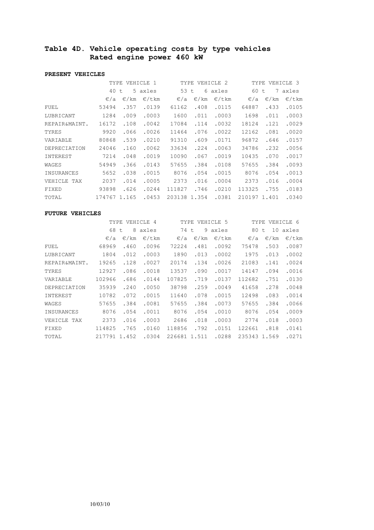# **Table 4D. Vehicle operating costs by type vehicles Rated engine power 460 kW**

#### **PRESENT VEHICLES**

|                   | TYPE            |                | VEHICLE 1       | TYPE            |                | VEHICLE 2       |                 | TYPE VEHICLE 3 |                 |
|-------------------|-----------------|----------------|-----------------|-----------------|----------------|-----------------|-----------------|----------------|-----------------|
|                   | 40 t            |                | 5 axles         | 53 t            |                | 6 axles         | 60              | 7<br>t.        | axles           |
|                   | $\varepsilon/a$ | $\epsilon$ /km | $\epsilon$ /tkm | $\varepsilon/a$ | $\epsilon$ /km | $\epsilon$ /tkm | $\varepsilon/a$ | $\epsilon$ /km | $\epsilon$ /tkm |
| FUEL              | 53494           | .357           | .0139           | 61162           | .408           | .0115           | 64887           | .433           | .0105           |
| LUBRICANT         | 1284            | .009           | .0003           | 1600            | .011           | .0003           | 1698            | .011           | .0003           |
| REPAIR&MAINT.     | 16172           | .108           | .0042           | 17084           | .114           | .0032           | 18124           | .121           | .0029           |
| TYRES             | 9920            | .066           | .0026           | 11464           | .076           | .0022           | 12162           | .081           | .0020           |
| VARIABLE          | 80868           | .539           | .0210           | 91310           | .609           | .0171           | 96872           | .646           | .0157           |
| DEPRECIATION      | 24046           | .160           | .0062           | 33634           | .224           | .0063           | 34786           | .232           | .0056           |
| INTEREST          | 7214            | .048           | .0019           | 10090           | .067           | .0019           | 10435           | .070           | .0017           |
| WAGES             | 54949           | .366           | .0143           | 57655           | .384           | .0108           | 57655           | .384           | .0093           |
| <b>INSURANCES</b> | 5652            | .038           | .0015           | 8076            | .054           | .0015           | 8076            | .054           | .0013           |
| VEHICLE<br>TAX    | 2037            | .014           | .0005           | 2373            | .016           | .0004           | 2373            | .016           | .0004           |
| FIXED             | 93898           | .626           | .0244           | 111827          | .746           | .0210           | 113325          | .755           | .0183           |
| TOTAL             | 174767          | 1.165          | .0453           | 203138 1.354    |                | .0381           | 210197          | 1.401          | .0340           |

|                | TYPE            |                | VEHICLE 4       | TYPE         |                | VEHICLE 5       | TYPE         |                | VEHICLE 6       |
|----------------|-----------------|----------------|-----------------|--------------|----------------|-----------------|--------------|----------------|-----------------|
|                | 68 t            | 8              | axles           | 74           | t              | 9 axles         | 80           | 10<br>t        | axles           |
|                | $\varepsilon/a$ | $\epsilon$ /km | $\epsilon$ /tkm | $\epsilon/a$ | $\epsilon$ /km | $\epsilon$ /tkm | $\epsilon/a$ | $\epsilon$ /km | $\epsilon$ /tkm |
| FUEL           | 68969           | .460           | .0096           | 72224        | .481           | .0092           | 75478        | .503           | .0087           |
| LUBRICANT      | 1804            | .012           | .0003           | 1890         | .013           | .0002           | 1975         | .013           | .0002           |
| REPAIR&MAINT.  | 19265           | .128           | .0027           | 20174        | .134           | .0026           | 21083        | .141           | .0024           |
| TYRES          | 12927           | .086           | .0018           | 13537        | .090           | .0017           | 14147        | .094           | .0016           |
| VARIABLE       | 102966          | .686           | .0144           | 107825       | .719           | .0137           | 112682       | .751           | .0130           |
| DEPRECIATION   | 35939           | .240           | .0050           | 38798        | .259           | .0049           | 41658        | .278           | .0048           |
| INTEREST       | 10782           | .072           | .0015           | 11640        | .078           | .0015           | 12498        | .083           | .0014           |
| WAGES          | 57655           | .384           | .0081           | 57655        | .384           | .0073           | 57655        | .384           | .0066           |
| INSURANCES     | 8076            | .054           | .0011           | 8076         | .054           | .0010           | 8076         | .054           | .0009           |
| VEHICLE<br>TAX | 2373            | .016           | .0003           | 2686         | .018           | .0003           | 2774         | .018           | .0003           |
| FIXED          | 114825          | .765           | .0160           | 118856       | .792           | .0151           | 122661       | .818           | .0141           |
| TOTAL          | 217791          | 1.452          | .0304           | 226681       | 1.511          | .0288           | 235343       | 1.569          | .0271           |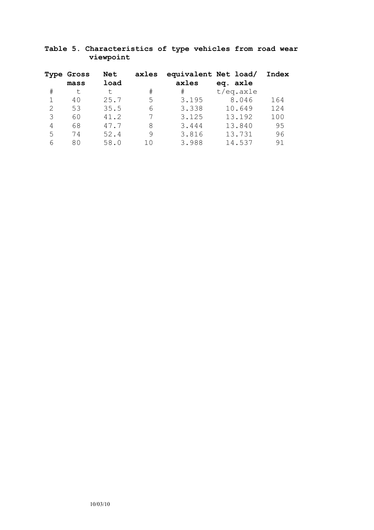# **Table 5. Characteristics of type vehicles from road wear viewpoint**

|               | <b>Type Gross</b><br>mass | Net<br>load | axles       | equivalent Net load/<br>axles | eq. axle      | Index |
|---------------|---------------------------|-------------|-------------|-------------------------------|---------------|-------|
| #             | t.                        | t.          | $_{\rm \#}$ | #                             | $t/eq$ . axle |       |
|               | 40                        | 25.7        | 5           | 3.195                         | 8.046         | 164   |
| $\mathcal{L}$ | 53                        | 35.5        | 6           | 3.338                         | 10.649        | 124   |
| 3             | 60                        | 41.2        |             | 3.125                         | 13.192        | 100   |
| 4             | 68                        | 47.7        | 8           | 3.444                         | 13.840        | 95    |
| 5             | 74                        | 52.4        | 9           | 3.816                         | 13.731        | 96    |
|               | 80                        | 58.0        | 10          | 3.988                         | 14.537        | 91    |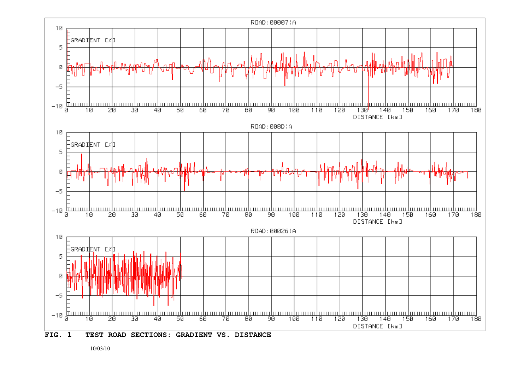

10/03/10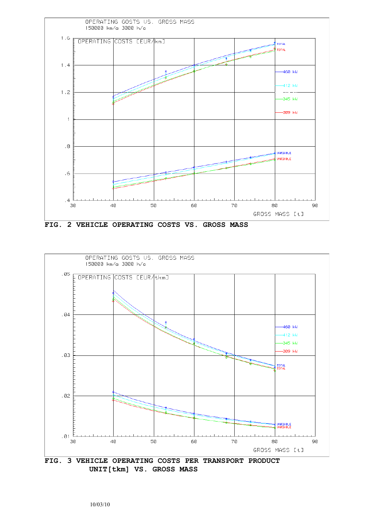

**FIG. 2 VEHICLE OPERATING COSTS VS. GROSS MASS**



**UNIT[tkm] VS. GROSS MASS**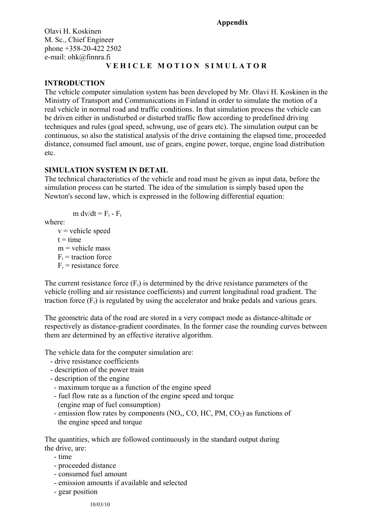#### **Appendix**

Olavi H. Koskinen M. Sc., Chief Engineer phone +358-20-422 2502 e-mail: ohk@finnra.fi

# **V E H I C L E M O T I O N S I M U L A T O R**

# **INTRODUCTION**

The vehicle computer simulation system has been developed by Mr. Olavi H. Koskinen in the Ministry of Transport and Communications in Finland in order to simulate the motion of a real vehicle in normal road and traffic conditions. In that simulation process the vehicle can be driven either in undisturbed or disturbed traffic flow according to predefined driving techniques and rules (goal speed, schwung, use of gears etc). The simulation output can be continuous, so also the statistical analysis of the drive containing the elapsed time, proceeded distance, consumed fuel amount, use of gears, engine power, torque, engine load distribution etc.

## **SIMULATION SYSTEM IN DETAIL**

The technical characteristics of the vehicle and road must be given as input data, before the simulation process can be started. The idea of the simulation is simply based upon the Newton's second law, which is expressed in the following differential equation:

$$
m dv/dt = F_t - F_r
$$

where:

 $v$  = vehicle speed  $t = time$  $m$  = vehicle mass  $F_t$  = traction force  $F_r$  = resistance force

The current resistance force  $(F_r)$  is determined by the drive resistance parameters of the vehicle (rolling and air resistance coefficients) and current longitudinal road gradient. The traction force  $(F_t)$  is regulated by using the accelerator and brake pedals and various gears.

The geometric data of the road are stored in a very compact mode as distance-altitude or respectively as distance-gradient coordinates. In the former case the rounding curves between them are determined by an effective iterative algorithm.

The vehicle data for the computer simulation are:

- drive resistance coefficients
- description of the power train
- description of the engine
- maximum torque as a function of the engine speed
- fuel flow rate as a function of the engine speed and torque (engine map of fuel consumption)
- emission flow rates by components  $(NO<sub>x</sub>, CO, HC, PM, CO<sub>2</sub>)$  as functions of the engine speed and torque

The quantities, which are followed continuously in the standard output during the drive, are:

- time
- proceeded distance
- consumed fuel amount
- emission amounts if available and selected
- gear position